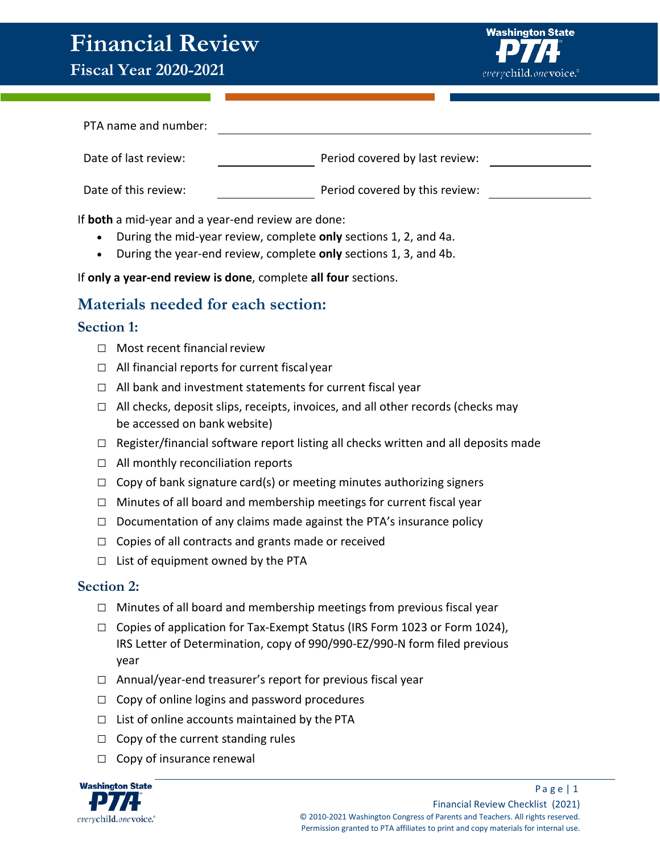# **Financial Review**



| PTA name and number: |                                |
|----------------------|--------------------------------|
| Date of last review: | Period covered by last review: |
| Date of this review: | Period covered by this review: |

If **both** a mid-year and a year-end review are done:

- During the mid-year review, complete **only** sections 1, 2, and 4a.
- During the year-end review, complete **only** sections 1, 3, and 4b.

If **only a year-end review is done**, complete **all four** sections.

# **Materials needed for each section:**

### **Section 1:**

- $\Box$  Most recent financial review
- $\Box$  All financial reports for current fiscal year
- $\Box$  All bank and investment statements for current fiscal year
- $\Box$  All checks, deposit slips, receipts, invoices, and all other records (checks may be accessed on bank website)
- $\Box$  Register/financial software report listing all checks written and all deposits made
- $\Box$  All monthly reconciliation reports
- $\Box$  Copy of bank signature card(s) or meeting minutes authorizing signers
- $\Box$  Minutes of all board and membership meetings for current fiscal year
- $\Box$  Documentation of any claims made against the PTA's insurance policy
- □ Copies of all contracts and grants made or received
- $\Box$  List of equipment owned by the PTA

### **Section 2:**

- $\Box$  Minutes of all board and membership meetings from previous fiscal year
- $\Box$  Copies of application for Tax-Exempt Status (IRS Form 1023 or Form 1024), IRS Letter of Determination, copy of 990/990-EZ/990-N form filed previous year
- $\Box$  Annual/year-end treasurer's report for previous fiscal year
- $\Box$  Copy of online logins and password procedures
- $\Box$  List of online accounts maintained by the PTA
- $\Box$  Copy of the current standing rules
- □ Copy of insurance renewal

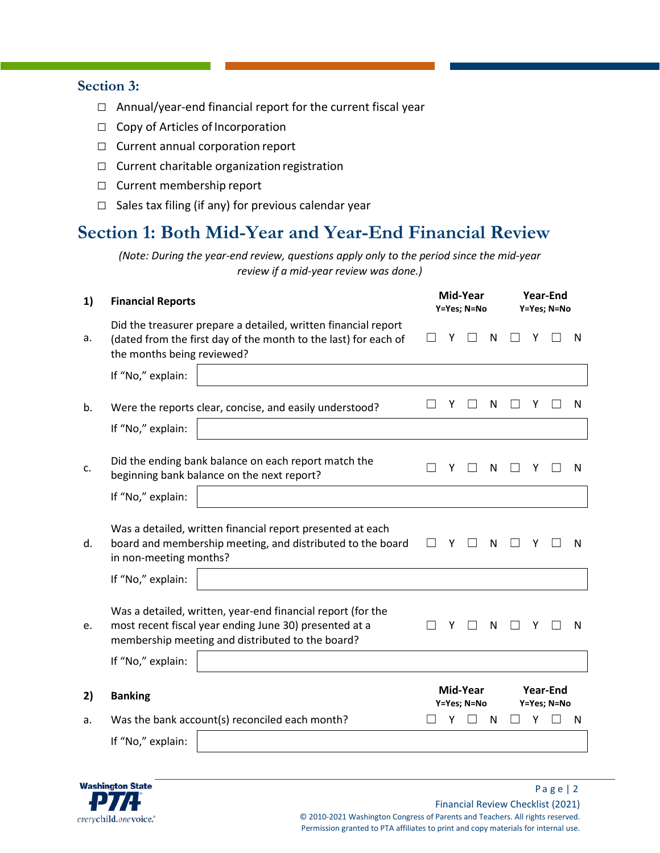### **Section 3:**

- □ Annual/year-end financial report for the current fiscal year
- □ Copy of Articles of Incorporation
- □ Current annual corporation report
- □ Current charitable organization registration
- □ Current membership report
- $\Box$  Sales tax filing (if any) for previous calendar year

# **Section 1: Both Mid-Year and Year-End Financial Review**

*(Note: During the year-end review, questions apply only to the period since the mid-year review if a mid-year review was done.)*

| 1) | <b>Financial Reports</b>   |                                                                                                                                                                           |                                                           |        | Mid-Year<br>Y=Yes; N=No |   | <b>Year-End</b><br>Y=Yes; N=No |   |   |   |  |  |  |
|----|----------------------------|---------------------------------------------------------------------------------------------------------------------------------------------------------------------------|-----------------------------------------------------------|--------|-------------------------|---|--------------------------------|---|---|---|--|--|--|
| a. | the months being reviewed? | Did the treasurer prepare a detailed, written financial report<br>(dated from the first day of the month to the last) for each of                                         |                                                           | Υ      |                         | N |                                |   | N |   |  |  |  |
|    | If "No," explain:          |                                                                                                                                                                           |                                                           |        |                         |   |                                |   |   |   |  |  |  |
| b. |                            | Were the reports clear, concise, and easily understood?                                                                                                                   |                                                           | Υ      |                         | N |                                | Υ |   | N |  |  |  |
|    | If "No," explain:          |                                                                                                                                                                           |                                                           |        |                         |   |                                |   |   |   |  |  |  |
| c. |                            | Did the ending bank balance on each report match the<br>beginning bank balance on the next report?                                                                        |                                                           | Υ<br>N |                         |   |                                |   |   | N |  |  |  |
|    | If "No," explain:          |                                                                                                                                                                           |                                                           |        |                         |   |                                |   |   |   |  |  |  |
| d. | in non-meeting months?     | Was a detailed, written financial report presented at each<br>board and membership meeting, and distributed to the board                                                  |                                                           | Y      |                         | N |                                | Y |   | N |  |  |  |
|    | If "No," explain:          |                                                                                                                                                                           |                                                           |        |                         |   |                                |   |   |   |  |  |  |
| e. |                            | Was a detailed, written, year-end financial report (for the<br>most recent fiscal year ending June 30) presented at a<br>membership meeting and distributed to the board? |                                                           | Υ      |                         | N |                                | Y |   | N |  |  |  |
|    | If "No," explain:          |                                                                                                                                                                           |                                                           |        |                         |   |                                |   |   |   |  |  |  |
| 2) | <b>Banking</b>             |                                                                                                                                                                           | Mid-Year<br><b>Year-End</b><br>Y=Yes; N=No<br>Y=Yes; N=No |        |                         |   |                                |   |   |   |  |  |  |
| а. |                            | Was the bank account(s) reconciled each month?                                                                                                                            |                                                           | γ      |                         | N |                                | Y |   | N |  |  |  |
|    | If "No," explain:          |                                                                                                                                                                           |                                                           |        |                         |   |                                |   |   |   |  |  |  |

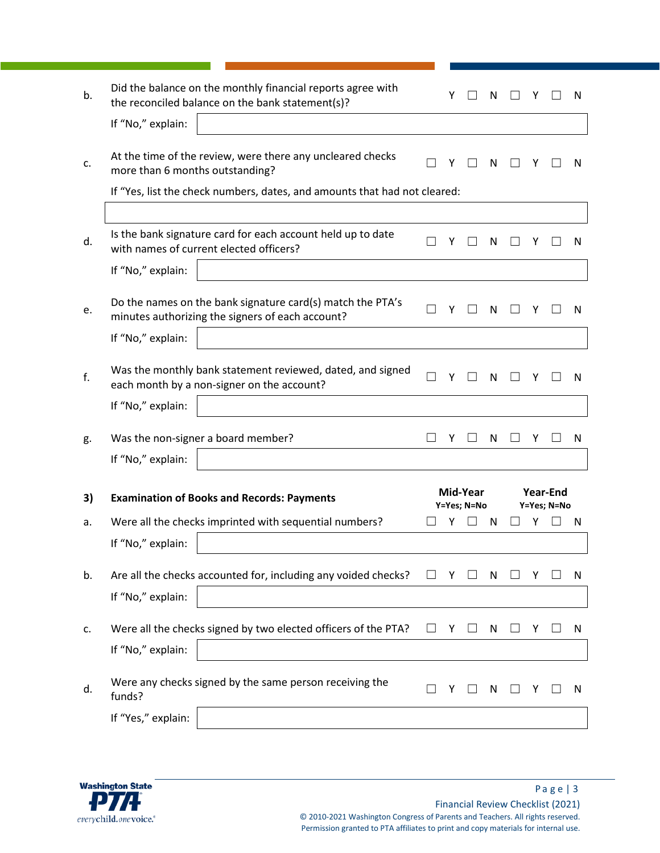| b. | Did the balance on the monthly financial reports agree with<br>the reconciled balance on the bank statement(s)? | Υ |                         | N |   |                         | N |
|----|-----------------------------------------------------------------------------------------------------------------|---|-------------------------|---|---|-------------------------|---|
|    | If "No," explain:                                                                                               |   |                         |   |   |                         |   |
| c. | At the time of the review, were there any uncleared checks<br>more than 6 months outstanding?                   | Υ |                         | N |   |                         | N |
|    | If "Yes, list the check numbers, dates, and amounts that had not cleared:                                       |   |                         |   |   |                         |   |
|    |                                                                                                                 |   |                         |   |   |                         |   |
| d. | Is the bank signature card for each account held up to date<br>with names of current elected officers?          | Υ |                         | N |   |                         | N |
|    | If "No," explain:                                                                                               |   |                         |   |   |                         |   |
| e. | Do the names on the bank signature card(s) match the PTA's<br>minutes authorizing the signers of each account?  | Υ |                         | N |   |                         | N |
|    | If "No," explain:                                                                                               |   |                         |   |   |                         |   |
| f. | Was the monthly bank statement reviewed, dated, and signed<br>each month by a non-signer on the account?        | Υ |                         | N | Y |                         | N |
|    | If "No," explain:                                                                                               |   |                         |   |   |                         |   |
| g. | Was the non-signer a board member?                                                                              | Υ |                         | N | Y |                         | N |
|    | If "No," explain:                                                                                               |   |                         |   |   |                         |   |
| 3) | <b>Examination of Books and Records: Payments</b>                                                               |   | Mid-Year<br>Y=Yes; N=No |   |   | Year-End<br>Y=Yes; N=No |   |
| a. | Were all the checks imprinted with sequential numbers?                                                          | Υ |                         | N | γ |                         | N |
|    | If "No," explain:                                                                                               |   |                         |   |   |                         |   |
| b. | Are all the checks accounted for, including any voided checks?                                                  | Y |                         | N |   |                         | N |
|    | If "No," explain:                                                                                               |   |                         |   |   |                         |   |
| c. | Were all the checks signed by two elected officers of the PTA?                                                  | Y |                         | N | Y |                         | N |
|    | If "No," explain:                                                                                               |   |                         |   |   |                         |   |
| d. | Were any checks signed by the same person receiving the<br>funds?                                               |   |                         | N |   |                         | N |
|    | If "Yes," explain:                                                                                              |   |                         |   |   |                         |   |

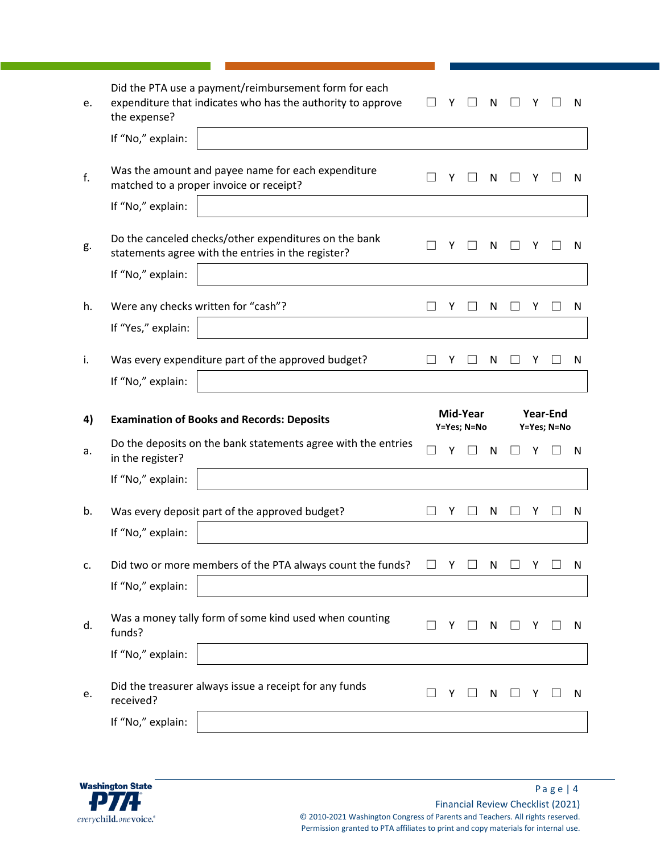| е. | Did the PTA use a payment/reimbursement form for each<br>expenditure that indicates who has the authority to approve<br>the expense? |        |   |                         | N |          |   |                          | N   |
|----|--------------------------------------------------------------------------------------------------------------------------------------|--------|---|-------------------------|---|----------|---|--------------------------|-----|
|    | If "No," explain:                                                                                                                    |        |   |                         |   |          |   |                          |     |
| f. | Was the amount and payee name for each expenditure<br>matched to a proper invoice or receipt?                                        |        |   |                         | N |          |   |                          | N   |
|    | If "No," explain:                                                                                                                    |        |   |                         |   |          |   |                          |     |
| g. | Do the canceled checks/other expenditures on the bank<br>statements agree with the entries in the register?                          |        | Y |                         | N |          | Υ |                          | N   |
|    | If "No," explain:                                                                                                                    |        |   |                         |   |          |   |                          |     |
| h. | Were any checks written for "cash"?                                                                                                  |        | Y |                         | N |          | Y |                          | N   |
|    | If "Yes," explain:                                                                                                                   |        |   |                         |   |          |   |                          |     |
| i. | Was every expenditure part of the approved budget?                                                                                   |        | Y |                         | N |          | Υ |                          | N   |
|    | If "No," explain:                                                                                                                    |        |   |                         |   |          |   |                          |     |
|    |                                                                                                                                      |        |   |                         |   |          |   |                          |     |
| 4) | <b>Examination of Books and Records: Deposits</b>                                                                                    |        |   | Mid-Year<br>Y=Yes; N=No |   |          |   | Year-End<br>Y=Yes; N=No  |     |
| a. | Do the deposits on the bank statements agree with the entries<br>in the register?                                                    |        | Υ |                         | N |          |   |                          | N   |
|    | If "No," explain:                                                                                                                    |        |   |                         |   |          |   |                          |     |
| b. | Was every deposit part of the approved budget?                                                                                       |        | Y |                         | N |          | Y |                          | N   |
|    | If "No," explain:                                                                                                                    |        |   |                         |   |          |   |                          |     |
| c. | Did two or more members of the PTA always count the funds?                                                                           | $\Box$ |   | Y □ N                   |   | $\Box$ Y |   | $\overline{\phantom{a}}$ | - N |
|    | If "No," explain:                                                                                                                    |        |   |                         |   |          |   |                          |     |
| d. | Was a money tally form of some kind used when counting<br>funds?                                                                     |        | Y |                         | N |          | Y |                          | N.  |
|    | If "No," explain:                                                                                                                    |        |   |                         |   |          |   |                          |     |
| e. | Did the treasurer always issue a receipt for any funds<br>received?                                                                  |        | Y |                         | N |          |   |                          | N   |

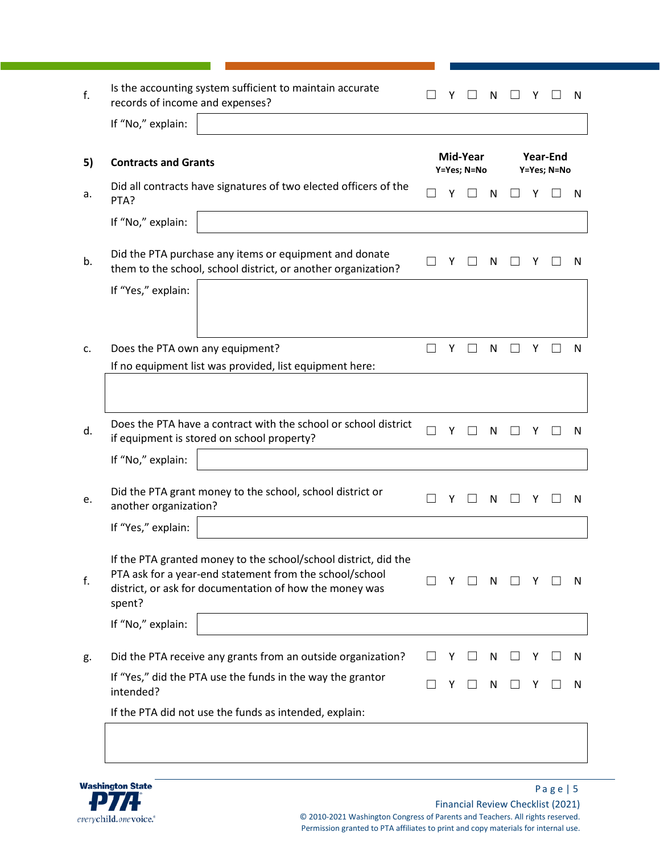| f. | Is the accounting system sufficient to maintain accurate<br>records of income and expenses?                                                                                                     |  | Υ |                         | N |   |                         | N |
|----|-------------------------------------------------------------------------------------------------------------------------------------------------------------------------------------------------|--|---|-------------------------|---|---|-------------------------|---|
|    | If "No," explain:                                                                                                                                                                               |  |   |                         |   |   |                         |   |
| 5) | <b>Contracts and Grants</b>                                                                                                                                                                     |  |   | Mid-Year<br>Y=Yes; N=No |   |   | Year-End<br>Y=Yes; N=No |   |
| a. | Did all contracts have signatures of two elected officers of the<br>PTA?                                                                                                                        |  | Υ |                         | N |   |                         | N |
|    | If "No," explain:                                                                                                                                                                               |  |   |                         |   |   |                         |   |
| b. | Did the PTA purchase any items or equipment and donate<br>them to the school, school district, or another organization?                                                                         |  | Υ |                         | N | Y |                         | N |
|    | If "Yes," explain:                                                                                                                                                                              |  |   |                         |   |   |                         |   |
|    |                                                                                                                                                                                                 |  |   |                         |   |   |                         |   |
| c. | Does the PTA own any equipment?                                                                                                                                                                 |  | Υ |                         | N | Y |                         | N |
|    | If no equipment list was provided, list equipment here:                                                                                                                                         |  |   |                         |   |   |                         |   |
|    |                                                                                                                                                                                                 |  |   |                         |   |   |                         |   |
| d. | Does the PTA have a contract with the school or school district<br>if equipment is stored on school property?                                                                                   |  | Υ |                         | N | Υ |                         | N |
|    | If "No," explain:                                                                                                                                                                               |  |   |                         |   |   |                         |   |
| e. | Did the PTA grant money to the school, school district or<br>another organization?                                                                                                              |  | Υ |                         | N | Υ |                         | N |
|    | If "Yes," explain:                                                                                                                                                                              |  |   |                         |   |   |                         |   |
| f. | If the PTA granted money to the school/school district, did the<br>PTA ask for a year-end statement from the school/school<br>district, or ask for documentation of how the money was<br>spent? |  | Y |                         | N | Y |                         | N |
|    | If "No," explain:                                                                                                                                                                               |  |   |                         |   |   |                         |   |
| g. | Did the PTA receive any grants from an outside organization?                                                                                                                                    |  | Υ |                         | N |   |                         | N |
|    | If "Yes," did the PTA use the funds in the way the grantor<br>intended?                                                                                                                         |  | Υ |                         | N | Y |                         | N |
|    | If the PTA did not use the funds as intended, explain:                                                                                                                                          |  |   |                         |   |   |                         |   |
|    |                                                                                                                                                                                                 |  |   |                         |   |   |                         |   |

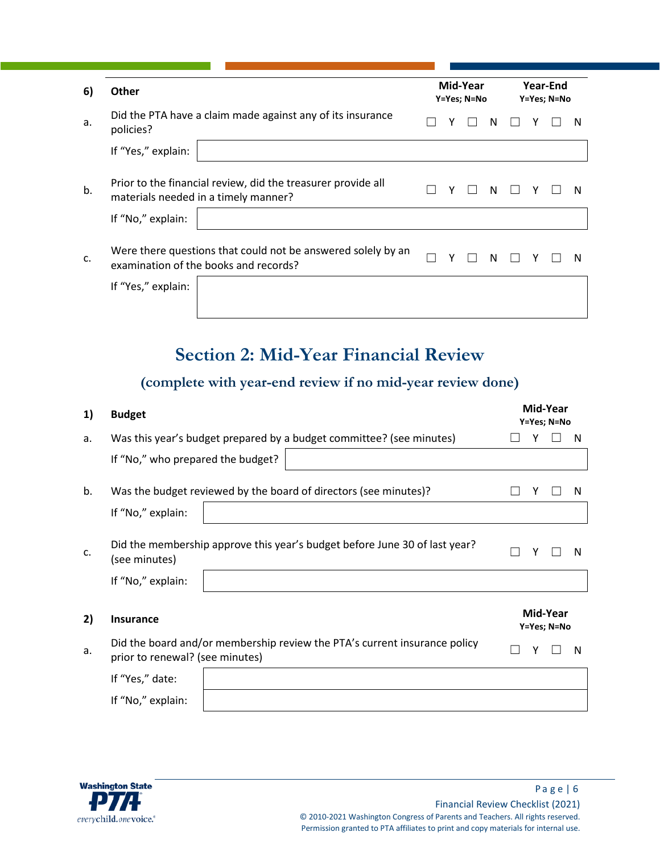| 6) | <b>Other</b>                                                                                                              |  | Mid-Year<br>Y=Yes; N=No |  |   | Year-End<br>Y=Yes; N=No |  |  |   |  |  |  |
|----|---------------------------------------------------------------------------------------------------------------------------|--|-------------------------|--|---|-------------------------|--|--|---|--|--|--|
| a. | Did the PTA have a claim made against any of its insurance<br>policies?                                                   |  |                         |  | N |                         |  |  | N |  |  |  |
|    | If "Yes," explain:                                                                                                        |  |                         |  |   |                         |  |  |   |  |  |  |
| b. | Prior to the financial review, did the treasurer provide all<br>materials needed in a timely manner?<br>If "No," explain: |  | Y                       |  | N |                         |  |  | N |  |  |  |
|    |                                                                                                                           |  |                         |  |   |                         |  |  |   |  |  |  |
| c. | Were there questions that could not be answered solely by an<br>examination of the books and records?                     |  | γ                       |  | N |                         |  |  | N |  |  |  |
|    | If "Yes," explain:                                                                                                        |  |                         |  |   |                         |  |  |   |  |  |  |
|    |                                                                                                                           |  |                         |  |   |                         |  |  |   |  |  |  |

# **Section 2: Mid-Year Financial Review**

# **(complete with year-end review if no mid-year review done)**

| 1) | <b>Budget</b>                                                                                                    |                         |   | Mid-Year<br>Y=Yes; N=No |   |  |
|----|------------------------------------------------------------------------------------------------------------------|-------------------------|---|-------------------------|---|--|
| a. | Was this year's budget prepared by a budget committee? (see minutes)                                             |                         |   |                         | N |  |
|    | If "No," who prepared the budget?                                                                                |                         |   |                         |   |  |
| b. | Was the budget reviewed by the board of directors (see minutes)?                                                 |                         |   |                         | N |  |
|    | If "No," explain:                                                                                                |                         |   |                         |   |  |
| c. | Did the membership approve this year's budget before June 30 of last year?<br>(see minutes)<br>If "No," explain: |                         | γ |                         | N |  |
| 2) | Insurance                                                                                                        | Mid-Year<br>Y=Yes; N=No |   |                         |   |  |
| a. | Did the board and/or membership review the PTA's current insurance policy<br>prior to renewal? (see minutes)     |                         |   |                         | N |  |
|    | If "Yes," date:                                                                                                  |                         |   |                         |   |  |
|    | If "No," explain:                                                                                                |                         |   |                         |   |  |

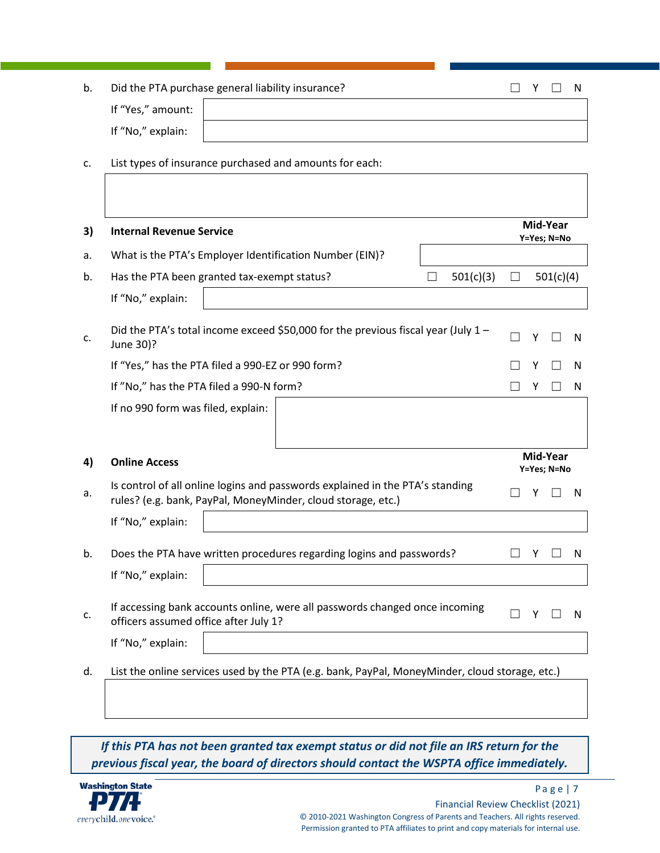| b. |                   | Did the PTA purchase general liability insurance? | Y. |  |
|----|-------------------|---------------------------------------------------|----|--|
|    | If "Yes," amount: |                                                   |    |  |
|    | If "No," explain: |                                                   |    |  |

c. List types of insurance purchased and amounts for each:

| 3) | <b>Internal Revenue Service</b>                                                                                                               |                   |           |         |   | Mid-Year<br>Y=Yes; N=No |   |  |  |  |
|----|-----------------------------------------------------------------------------------------------------------------------------------------------|-------------------|-----------|---------|---|-------------------------|---|--|--|--|
| a. | What is the PTA's Employer Identification Number (EIN)?                                                                                       |                   |           |         |   |                         |   |  |  |  |
| b. | Has the PTA been granted tax-exempt status?                                                                                                   |                   | 501(c)(3) | $\perp$ |   | 501(c)(4)               |   |  |  |  |
|    | If "No," explain:                                                                                                                             |                   |           |         |   |                         |   |  |  |  |
| c. | Did the PTA's total income exceed \$50,000 for the previous fiscal year (July 1 -<br>June 30)?                                                | $\vert \ \ \vert$ | Y         |         | N |                         |   |  |  |  |
|    | If "Yes," has the PTA filed a 990-EZ or 990 form?                                                                                             |                   |           |         | N |                         |   |  |  |  |
|    | If "No," has the PTA filed a 990-N form?                                                                                                      |                   |           |         |   |                         |   |  |  |  |
|    | If no 990 form was filed, explain:                                                                                                            |                   |           |         |   |                         |   |  |  |  |
|    |                                                                                                                                               |                   |           |         |   |                         |   |  |  |  |
| 4) | <b>Online Access</b>                                                                                                                          |                   |           |         |   | Mid-Year<br>Y=Yes; N=No |   |  |  |  |
| a. | Is control of all online logins and passwords explained in the PTA's standing<br>rules? (e.g. bank, PayPal, MoneyMinder, cloud storage, etc.) |                   |           |         |   |                         | N |  |  |  |
|    | If "No," explain:                                                                                                                             |                   |           |         |   |                         |   |  |  |  |
| b. | Does the PTA have written procedures regarding logins and passwords?                                                                          |                   |           |         | Y |                         | N |  |  |  |
|    | If "No," explain:                                                                                                                             |                   |           |         |   |                         |   |  |  |  |
| c. | If accessing bank accounts online, were all passwords changed once incoming<br>officers assumed office after July 1?                          |                   |           |         |   |                         | N |  |  |  |
|    | If "No," explain:                                                                                                                             |                   |           |         |   |                         |   |  |  |  |
| d. | List the online services used by the PTA (e.g. bank, PayPal, MoneyMinder, cloud storage, etc.)                                                |                   |           |         |   |                         |   |  |  |  |

*If this PTA has not been granted tax exempt status or did not file an IRS return for the previous fiscal year, the board of directors should contact the WSPTA office immediately.*

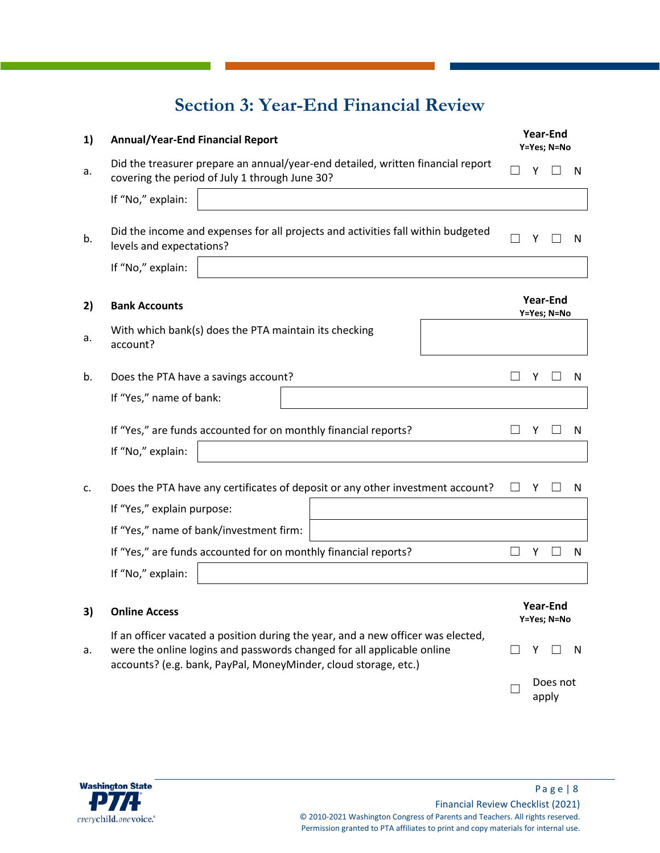# **Section 3: Year-End Financial Review**

| 1) | <b>Annual/Year-End Financial Report</b>                                                                                                                                                                                       |        |   | <b>Year-End</b><br>Y=Yes; N=No |   |
|----|-------------------------------------------------------------------------------------------------------------------------------------------------------------------------------------------------------------------------------|--------|---|--------------------------------|---|
| a. | Did the treasurer prepare an annual/year-end detailed, written financial report<br>covering the period of July 1 through June 30?                                                                                             |        | Y |                                | N |
|    | If "No," explain:                                                                                                                                                                                                             |        |   |                                |   |
| b. | Did the income and expenses for all projects and activities fall within budgeted<br>levels and expectations?                                                                                                                  |        | Y |                                | N |
|    | If "No," explain:                                                                                                                                                                                                             |        |   |                                |   |
| 2) | <b>Bank Accounts</b>                                                                                                                                                                                                          |        |   | <b>Year-End</b><br>Y=Yes; N=No |   |
| a. | With which bank(s) does the PTA maintain its checking<br>account?                                                                                                                                                             |        |   |                                |   |
| b. | Does the PTA have a savings account?                                                                                                                                                                                          | $\Box$ | Y |                                | N |
|    | If "Yes," name of bank:                                                                                                                                                                                                       |        |   |                                |   |
|    | If "Yes," are funds accounted for on monthly financial reports?                                                                                                                                                               |        | Y |                                | N |
|    | If "No," explain:                                                                                                                                                                                                             |        |   |                                |   |
| c. | Does the PTA have any certificates of deposit or any other investment account?                                                                                                                                                |        | Y |                                | N |
|    | If "Yes," explain purpose:                                                                                                                                                                                                    |        |   |                                |   |
|    | If "Yes," name of bank/investment firm:                                                                                                                                                                                       |        |   |                                |   |
|    | If "Yes," are funds accounted for on monthly financial reports?                                                                                                                                                               |        | Y |                                | N |
|    | If "No," explain:                                                                                                                                                                                                             |        |   |                                |   |
| 3) | <b>Online Access</b>                                                                                                                                                                                                          |        |   | <b>Year-End</b><br>Y=Yes; N=No |   |
| a. | If an officer vacated a position during the year, and a new officer was elected,<br>were the online logins and passwords changed for all applicable online<br>accounts? (e.g. bank, PayPal, MoneyMinder, cloud storage, etc.) |        | Υ |                                | N |
|    |                                                                                                                                                                                                                               |        |   | Does not<br>apply              |   |

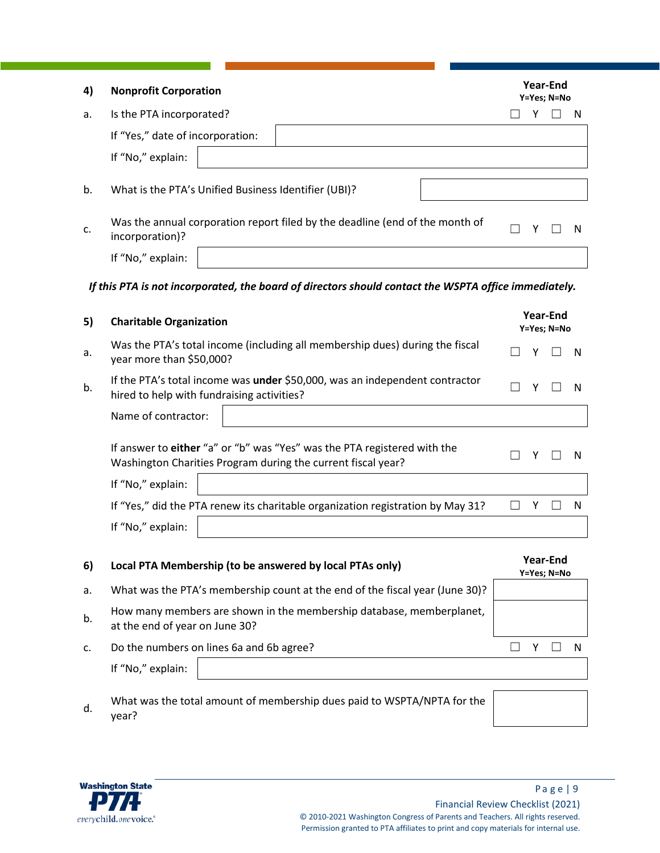| 4) | <b>Nonprofit Corporation</b>                                                                                                             |                         |   | Year-End<br>Y=Yes; N=No        |   |  |
|----|------------------------------------------------------------------------------------------------------------------------------------------|-------------------------|---|--------------------------------|---|--|
| a. | Is the PTA incorporated?                                                                                                                 |                         | Y |                                | N |  |
|    | If "Yes," date of incorporation:                                                                                                         |                         |   |                                |   |  |
|    | If "No," explain:                                                                                                                        |                         |   |                                |   |  |
| b. | What is the PTA's Unified Business Identifier (UBI)?                                                                                     |                         |   |                                |   |  |
| c. | Was the annual corporation report filed by the deadline (end of the month of<br>incorporation)?                                          |                         | Y |                                | N |  |
|    | If "No," explain:                                                                                                                        |                         |   |                                |   |  |
|    | If this PTA is not incorporated, the board of directors should contact the WSPTA office immediately.                                     |                         |   |                                |   |  |
| 5) | <b>Charitable Organization</b>                                                                                                           | Year-End<br>Y=Yes; N=No |   |                                |   |  |
| a. | Was the PTA's total income (including all membership dues) during the fiscal<br>year more than \$50,000?                                 |                         | Y |                                | N |  |
| b. | If the PTA's total income was under \$50,000, was an independent contractor<br>hired to help with fundraising activities?                |                         | Y |                                | N |  |
|    | Name of contractor:                                                                                                                      |                         |   |                                |   |  |
|    | If answer to either "a" or "b" was "Yes" was the PTA registered with the<br>Washington Charities Program during the current fiscal year? |                         | Y |                                | N |  |
|    | If "No," explain:                                                                                                                        |                         |   |                                |   |  |
|    | If "Yes," did the PTA renew its charitable organization registration by May 31?                                                          |                         | Υ |                                | N |  |
|    | If "No," explain:                                                                                                                        |                         |   |                                |   |  |
| 6) | Local PTA Membership (to be answered by local PTAs only)                                                                                 |                         |   | <b>Year-End</b><br>Y=Yes; N=No |   |  |
| a. | What was the PTA's membership count at the end of the fiscal year (June 30)?                                                             |                         |   |                                |   |  |
| b. | How many members are shown in the membership database, memberplanet,<br>at the end of year on June 30?                                   |                         |   |                                |   |  |

- c. Do the numbers on lines 6a and 6b agree?  $□ Y □ N$ If "No," explain:
- What was the total amount of membership dues paid to WSPTA/NPTA for the d. year?

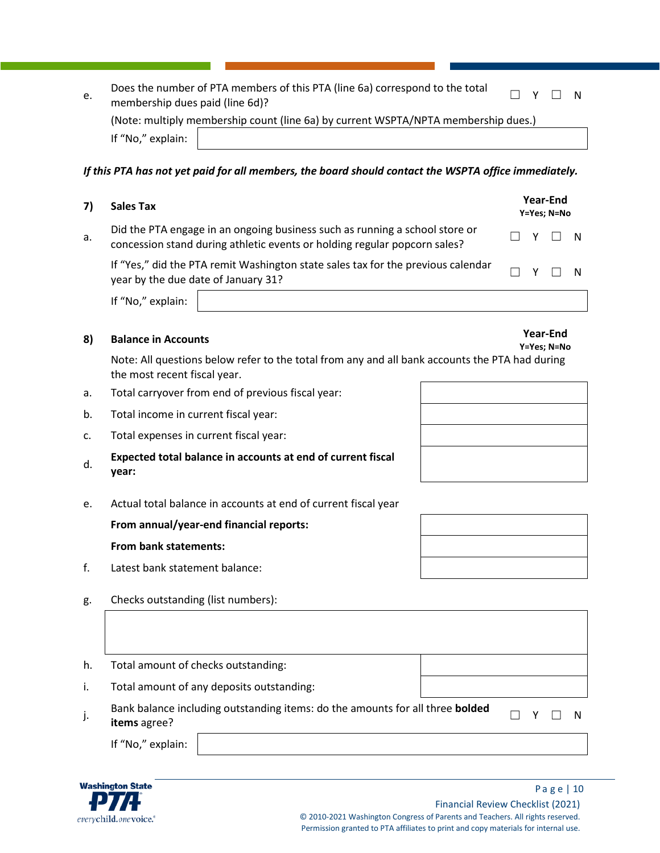| e. |                                 | Does the number of PTA members of this PTA (line 6a) correspond to the total       | $\Box$ $\vee$ $\Box$ |  | - N |
|----|---------------------------------|------------------------------------------------------------------------------------|----------------------|--|-----|
|    | membership dues paid (line 6d)? |                                                                                    |                      |  |     |
|    |                                 | (Note: multiply membership count (line 6a) by current WSPTA/NPTA membership dues.) |                      |  |     |
|    | If "No," explain:               |                                                                                    |                      |  |     |

#### *If this PTA has not yet paid for all members, the board should contact the WSPTA office immediately.*

### **7) Sales Tax Year-End**

a. Did the PTA engage in an ongoing business such as running a school store or  $\Box$  concession stand during athletic events or holding regular popcorn sales?  $\Box$  Y  $\Box$  N

If "Yes," did the PTA remit Washington state sales tax for the previous calendar  $\begin{array}{ccc} \text{N} & \text{N} \\ \text{N} & \text{N} \end{array}$   $\begin{array}{ccc} \text{N} & \text{N} \\ \text{N} & \text{N} \end{array}$   $\begin{array}{ccc} \text{N} & \text{N} \\ \text{N} & \text{N} \end{array}$   $\begin{array}{ccc} \text{N} & \text{N} \\ \text{N} & \text{N} \end{array}$ 

If "No," explain:

## **8) Balance in Accounts Year-End**

Note: All questions below refer to the total from any and all bank accounts the PTA had during the most recent fiscal year.

- a. Total carryover from end of previous fiscal year:
- b. Total income in current fiscal year:
- c. Total expenses in current fiscal year:
- d. **Expected total balance in accounts at end of current fiscal year:**
- e. Actual total balance in accounts at end of current fiscal year

#### **From annual/year-end financial reports:**

#### **From bank statements:**

- f. Latest bank statement balance:
- g. Checks outstanding (list numbers):
- h. Total amount of checks outstanding:
- i. Total amount of any deposits outstanding:

**i**. Bank balance including outstanding items: do the amounts for all three **bolded** □ Y □ N<br>j. **items** agree?

If "No," explain:





**Y=Yes; N=No**

**Y=Yes; N=No**